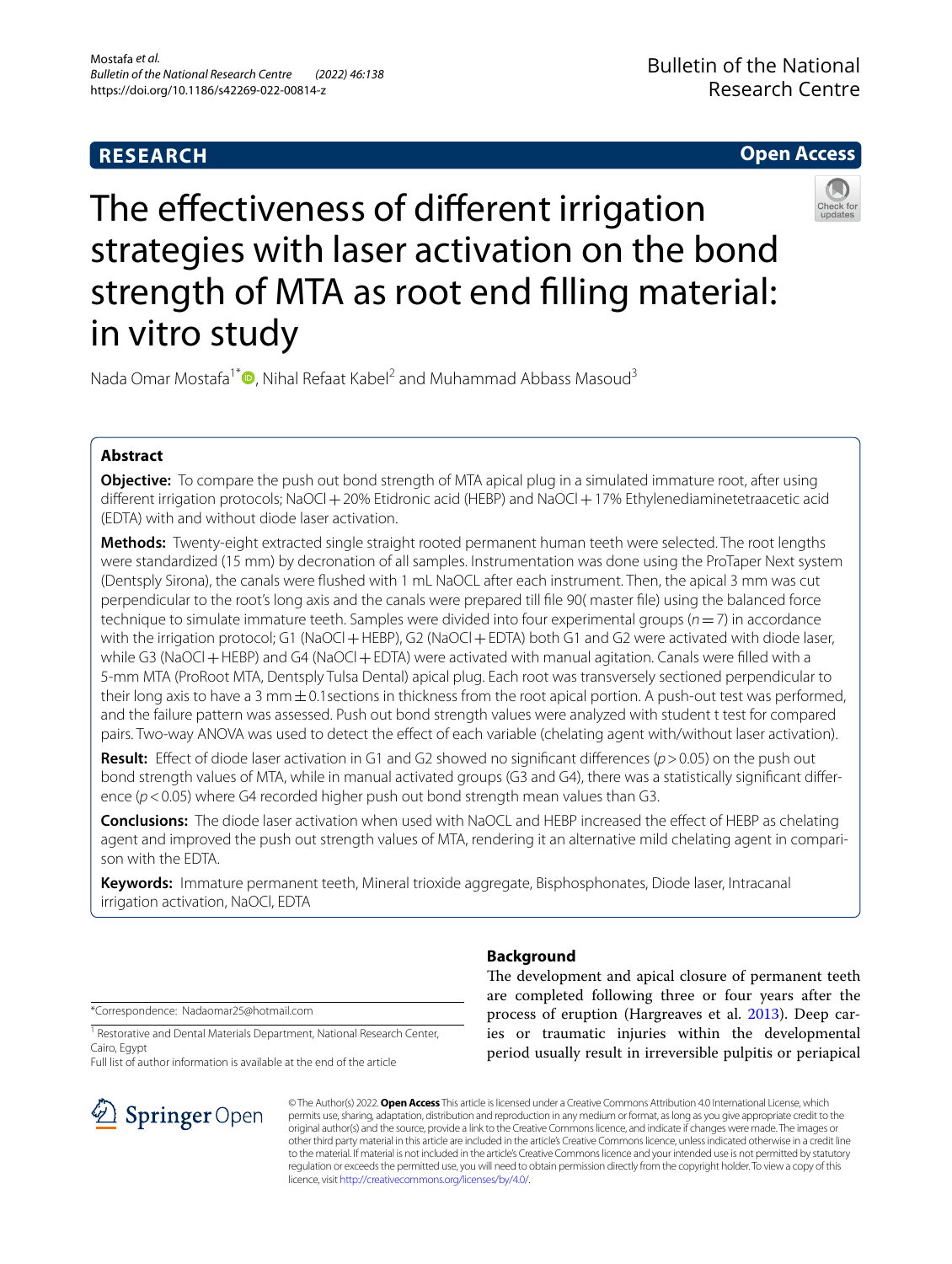## **RESEARCH**

## **Open Access**



The effectiveness of different irrigation strategies with laser activation on the bond strength of MTA as root end flling material: in vitro study

Nada Omar Mostafa<sup>1[\\*](http://orcid.org/0000-0002-0091-043X)</sup>  $\bullet$ . Nihal Refaat Kabel<sup>2</sup> and Muhammad Abbass Masoud<sup>3</sup>

## **Abstract**

**Objective:** To compare the push out bond strength of MTA apical plug in a simulated immature root, after using different irrigation protocols; NaOCl + 20% Etidronic acid (HEBP) and NaOCl + 17% Ethylenediaminetetraacetic acid (EDTA) with and without diode laser activation.

**Methods:** Twenty-eight extracted single straight rooted permanent human teeth were selected. The root lengths were standardized (15 mm) by decronation of all samples. Instrumentation was done using the ProTaper Next system (Dentsply Sirona), the canals were fushed with 1 mL NaOCL after each instrument. Then, the apical 3 mm was cut perpendicular to the root's long axis and the canals were prepared till fle 90( master fle) using the balanced force technique to simulate immature teeth. Samples were divided into four experimental groups (*n*=7) in accordance with the irrigation protocol; G1 (NaOCl + HEBP), G2 (NaOCl + EDTA) both G1 and G2 were activated with diode laser, while G3 (NaOCl + HEBP) and G4 (NaOCl + EDTA) were activated with manual agitation. Canals were filled with a 5-mm MTA (ProRoot MTA, Dentsply Tulsa Dental) apical plug. Each root was transversely sectioned perpendicular to their long axis to have a 3 mm $\pm$ 0.1 sections in thickness from the root apical portion. A push-out test was performed, and the failure pattern was assessed. Push out bond strength values were analyzed with student t test for compared pairs. Two-way ANOVA was used to detect the effect of each variable (chelating agent with/without laser activation).

**Result:** Efect of diode laser activation in G1 and G2 showed no signifcant diferences (*p*>0.05) on the push out bond strength values of MTA, while in manual activated groups (G3 and G4), there was a statistically signifcant diference ( $p$  < 0.05) where G4 recorded higher push out bond strength mean values than G3.

**Conclusions:** The diode laser activation when used with NaOCL and HEBP increased the efect of HEBP as chelating agent and improved the push out strength values of MTA, rendering it an alternative mild chelating agent in comparison with the EDTA.

**Keywords:** Immature permanent teeth, Mineral trioxide aggregate, Bisphosphonates, Diode laser, Intracanal irrigation activation, NaOCl, EDTA

\*Correspondence: Nadaomar25@hotmail.com

<sup>1</sup> Restorative and Dental Materials Department, National Research Center, Cairo, Egypt

Full list of author information is available at the end of the article



## **Background**

The development and apical closure of permanent teeth are completed following three or four years after the process of eruption (Hargreaves et al. [2013\)](#page-5-0). Deep caries or traumatic injuries within the developmental period usually result in irreversible pulpitis or periapical

© The Author(s) 2022. **Open Access** This article is licensed under a Creative Commons Attribution 4.0 International License, which permits use, sharing, adaptation, distribution and reproduction in any medium or format, as long as you give appropriate credit to the original author(s) and the source, provide a link to the Creative Commons licence, and indicate if changes were made. The images or other third party material in this article are included in the article's Creative Commons licence, unless indicated otherwise in a credit line to the material. If material is not included in the article's Creative Commons licence and your intended use is not permitted by statutory regulation or exceeds the permitted use, you will need to obtain permission directly from the copyright holder. To view a copy of this licence, visit [http://creativecommons.org/licenses/by/4.0/.](http://creativecommons.org/licenses/by/4.0/)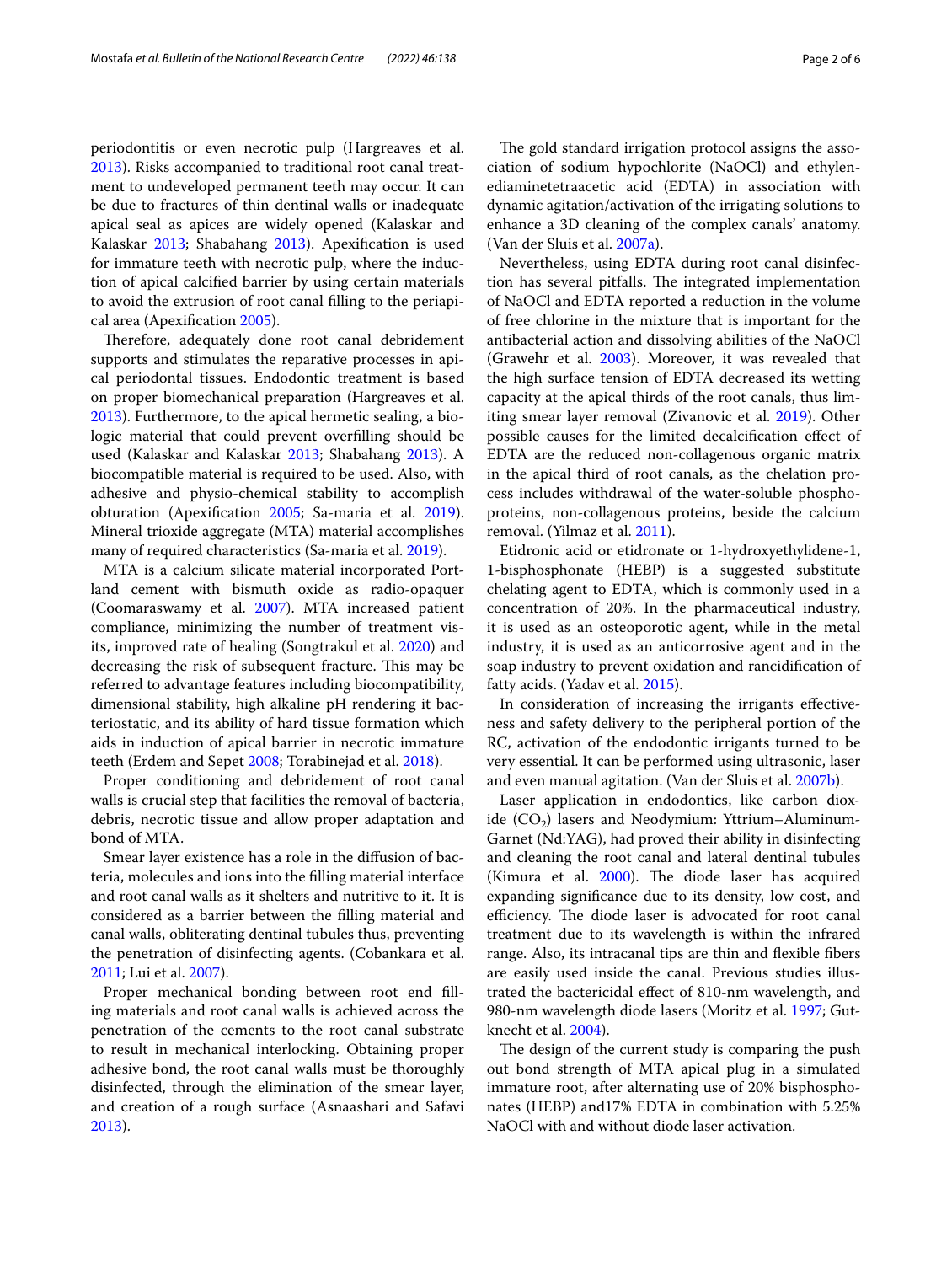periodontitis or even necrotic pulp (Hargreaves et al. [2013](#page-5-0)). Risks accompanied to traditional root canal treatment to undeveloped permanent teeth may occur. It can be due to fractures of thin dentinal walls or inadequate apical seal as apices are widely opened (Kalaskar and Kalaskar [2013](#page-5-1); Shabahang [2013](#page-5-2)). Apexifcation is used for immature teeth with necrotic pulp, where the induction of apical calcifed barrier by using certain materials to avoid the extrusion of root canal flling to the periapical area (Apexifcation [2005\)](#page-5-3).

Therefore, adequately done root canal debridement supports and stimulates the reparative processes in apical periodontal tissues. Endodontic treatment is based on proper biomechanical preparation (Hargreaves et al. [2013](#page-5-0)). Furthermore, to the apical hermetic sealing, a biologic material that could prevent overflling should be used (Kalaskar and Kalaskar [2013;](#page-5-1) Shabahang [2013](#page-5-2)). A biocompatible material is required to be used. Also, with adhesive and physio-chemical stability to accomplish obturation (Apexifcation [2005](#page-5-3); Sa-maria et al. [2019](#page-5-4)). Mineral trioxide aggregate (MTA) material accomplishes many of required characteristics (Sa-maria et al. [2019](#page-5-4)).

MTA is a calcium silicate material incorporated Portland cement with bismuth oxide as radio-opaquer (Coomaraswamy et al. [2007](#page-5-5)). MTA increased patient compliance, minimizing the number of treatment visits, improved rate of healing (Songtrakul et al. [2020](#page-5-6)) and decreasing the risk of subsequent fracture. This may be referred to advantage features including biocompatibility, dimensional stability, high alkaline pH rendering it bacteriostatic, and its ability of hard tissue formation which aids in induction of apical barrier in necrotic immature teeth (Erdem and Sepet [2008;](#page-5-7) Torabinejad et al. [2018\)](#page-5-8).

Proper conditioning and debridement of root canal walls is crucial step that facilities the removal of bacteria, debris, necrotic tissue and allow proper adaptation and bond of MTA.

Smear layer existence has a role in the difusion of bacteria, molecules and ions into the flling material interface and root canal walls as it shelters and nutritive to it. It is considered as a barrier between the flling material and canal walls, obliterating dentinal tubules thus, preventing the penetration of disinfecting agents. (Cobankara et al. [2011](#page-5-9); Lui et al. [2007\)](#page-5-10).

Proper mechanical bonding between root end flling materials and root canal walls is achieved across the penetration of the cements to the root canal substrate to result in mechanical interlocking. Obtaining proper adhesive bond, the root canal walls must be thoroughly disinfected, through the elimination of the smear layer, and creation of a rough surface (Asnaashari and Safavi [2013](#page-5-11)).

The gold standard irrigation protocol assigns the association of sodium hypochlorite (NaOCl) and ethylenediaminetetraacetic acid (EDTA) in association with dynamic agitation/activation of the irrigating solutions to enhance a 3D cleaning of the complex canals' anatomy. (Van der Sluis et al. [2007a\)](#page-5-12).

Nevertheless, using EDTA during root canal disinfection has several pitfalls. The integrated implementation of NaOCl and EDTA reported a reduction in the volume of free chlorine in the mixture that is important for the antibacterial action and dissolving abilities of the NaOCl (Grawehr et al. [2003](#page-5-13)). Moreover, it was revealed that the high surface tension of EDTA decreased its wetting capacity at the apical thirds of the root canals, thus limiting smear layer removal (Zivanovic et al. [2019](#page-5-14)). Other possible causes for the limited decalcifcation efect of EDTA are the reduced non-collagenous organic matrix in the apical third of root canals, as the chelation process includes withdrawal of the water-soluble phosphoproteins, non-collagenous proteins, beside the calcium removal. (Yilmaz et al. [2011](#page-5-15)).

Etidronic acid or etidronate or 1-hydroxyethylidene-1, 1-bisphosphonate (HEBP) is a suggested substitute chelating agent to EDTA, which is commonly used in a concentration of 20%. In the pharmaceutical industry, it is used as an osteoporotic agent, while in the metal industry, it is used as an anticorrosive agent and in the soap industry to prevent oxidation and rancidifcation of fatty acids. (Yadav et al. [2015](#page-5-16)).

In consideration of increasing the irrigants efectiveness and safety delivery to the peripheral portion of the RC, activation of the endodontic irrigants turned to be very essential. It can be performed using ultrasonic, laser and even manual agitation. (Van der Sluis et al. [2007b\)](#page-5-12).

Laser application in endodontics, like carbon dioxide  $(CO_2)$  lasers and Neodymium: Yttrium–Aluminum-Garnet (Nd:YAG), had proved their ability in disinfecting and cleaning the root canal and lateral dentinal tubules (Kimura et al.  $2000$ ). The diode laser has acquired expanding signifcance due to its density, low cost, and efficiency. The diode laser is advocated for root canal treatment due to its wavelength is within the infrared range. Also, its intracanal tips are thin and fexible fbers are easily used inside the canal. Previous studies illustrated the bactericidal efect of 810-nm wavelength, and 980-nm wavelength diode lasers (Moritz et al. [1997;](#page-5-18) Gutknecht et al. [2004](#page-5-19)).

The design of the current study is comparing the push out bond strength of MTA apical plug in a simulated immature root, after alternating use of 20% bisphosphonates (HEBP) and17% EDTA in combination with 5.25% NaOCl with and without diode laser activation.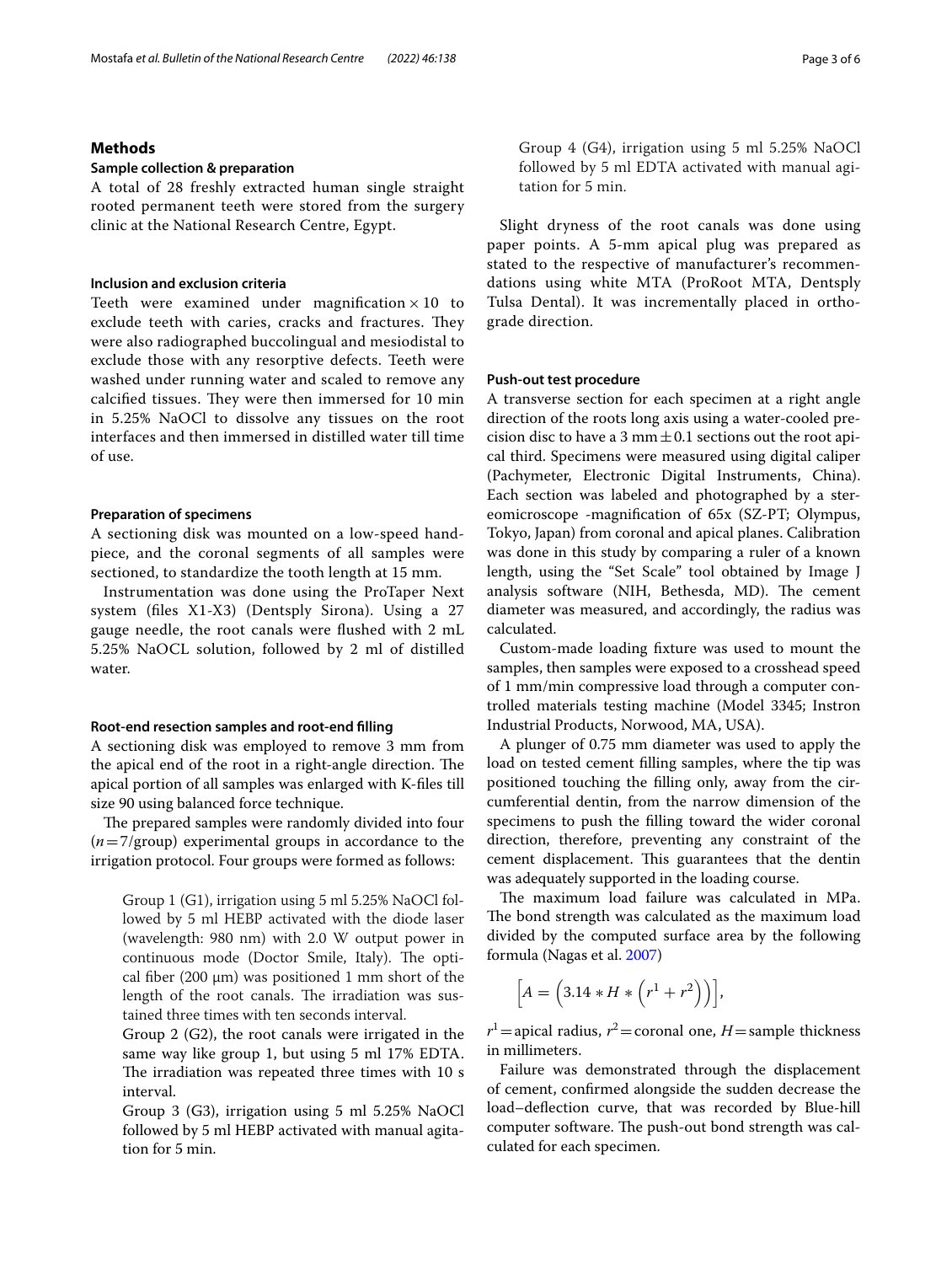### Mostafa *et al. Bulletin of the National Research Centre (2022) 46:138* Page 3 of 6

## **Methods**

## **Sample collection & preparation**

A total of 28 freshly extracted human single straight rooted permanent teeth were stored from the surgery clinic at the National Research Centre, Egypt.

## **Inclusion and exclusion criteria**

Teeth were examined under magnification  $\times$  10 to exclude teeth with caries, cracks and fractures. They were also radiographed buccolingual and mesiodistal to exclude those with any resorptive defects. Teeth were washed under running water and scaled to remove any calcified tissues. They were then immersed for 10 min in 5.25% NaOCl to dissolve any tissues on the root interfaces and then immersed in distilled water till time of use.

### **Preparation of specimens**

A sectioning disk was mounted on a low-speed handpiece, and the coronal segments of all samples were sectioned, to standardize the tooth length at 15 mm.

Instrumentation was done using the ProTaper Next system (fles X1-X3) (Dentsply Sirona). Using a 27 gauge needle, the root canals were fushed with 2 mL 5.25% NaOCL solution, followed by 2 ml of distilled water.

### **Root‑end resection samples and root‑end flling**

A sectioning disk was employed to remove 3 mm from the apical end of the root in a right-angle direction. The apical portion of all samples was enlarged with K-fles till size 90 using balanced force technique.

The prepared samples were randomly divided into four (*n*=7/group) experimental groups in accordance to the irrigation protocol. Four groups were formed as follows:

Group 1 (G1), irrigation using 5 ml 5.25% NaOCl followed by 5 ml HEBP activated with the diode laser (wavelength: 980 nm) with 2.0 W output power in continuous mode (Doctor Smile, Italy). The optical fiber (200  $\mu$ m) was positioned 1 mm short of the length of the root canals. The irradiation was sustained three times with ten seconds interval.

Group 2 (G2), the root canals were irrigated in the same way like group 1, but using 5 ml 17% EDTA. The irradiation was repeated three times with 10 s interval.

Group 3 (G3), irrigation using 5 ml 5.25% NaOCl followed by 5 ml HEBP activated with manual agitation for 5 min.

Slight dryness of the root canals was done using paper points. A 5-mm apical plug was prepared as stated to the respective of manufacturer's recommendations using white MTA (ProRoot MTA, Dentsply Tulsa Dental). It was incrementally placed in orthograde direction.

## **Push‑out test procedure**

tation for 5 min.

A transverse section for each specimen at a right angle direction of the roots long axis using a water-cooled precision disc to have a 3 mm $\pm$ 0.1 sections out the root apical third. Specimens were measured using digital caliper (Pachymeter, Electronic Digital Instruments, China). Each section was labeled and photographed by a stereomicroscope -magnifcation of 65x (SZ-PT; Olympus, Tokyo, Japan) from coronal and apical planes. Calibration was done in this study by comparing a ruler of a known length, using the "Set Scale" tool obtained by Image J analysis software (NIH, Bethesda, MD). The cement diameter was measured, and accordingly, the radius was calculated.

Custom-made loading fxture was used to mount the samples, then samples were exposed to a crosshead speed of 1 mm/min compressive load through a computer controlled materials testing machine (Model 3345; Instron Industrial Products, Norwood, MA, USA).

A plunger of 0.75 mm diameter was used to apply the load on tested cement flling samples, where the tip was positioned touching the flling only, away from the circumferential dentin, from the narrow dimension of the specimens to push the flling toward the wider coronal direction, therefore, preventing any constraint of the cement displacement. This guarantees that the dentin was adequately supported in the loading course.

The maximum load failure was calculated in MPa. The bond strength was calculated as the maximum load divided by the computed surface area by the following formula (Nagas et al. [2007](#page-5-20))

$$
\left[A = \left(3.14 * H * \left(r^1 + r^2\right)\right)\right],
$$

 $r^1$  = apical radius,  $r^2$  = coronal one, *H* = sample thickness in millimeters.

Failure was demonstrated through the displacement of cement, confrmed alongside the sudden decrease the load–defection curve, that was recorded by Blue-hill computer software. The push-out bond strength was calculated for each specimen.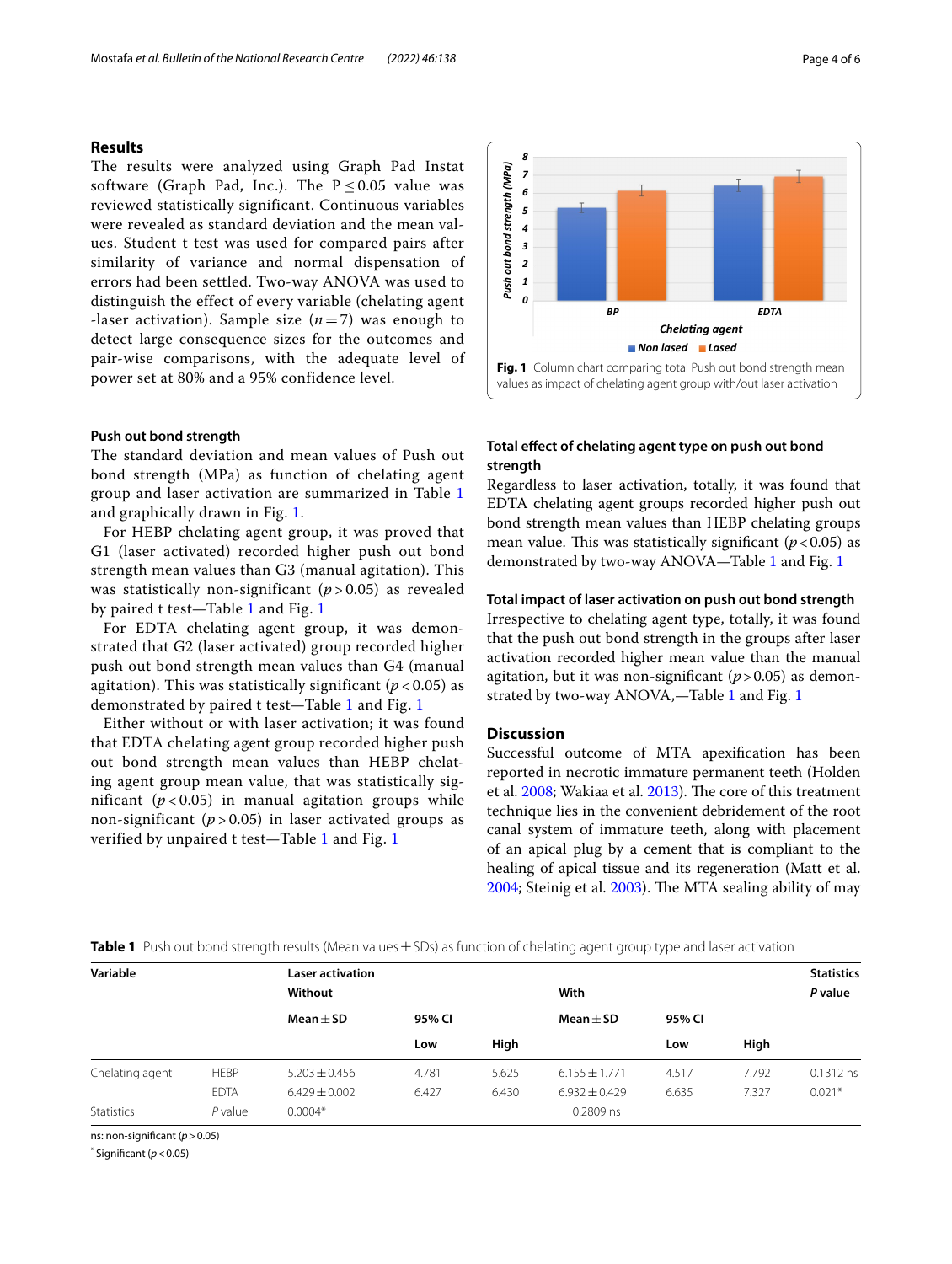## **Results**

The results were analyzed using Graph Pad Instat software (Graph Pad, Inc.). The  $P < 0.05$  value was reviewed statistically significant. Continuous variables were revealed as standard deviation and the mean values. Student t test was used for compared pairs after similarity of variance and normal dispensation of errors had been settled. Two-way ANOVA was used to distinguish the effect of every variable (chelating agent -laser activation). Sample size  $(n=7)$  was enough to detect large consequence sizes for the outcomes and pair-wise comparisons, with the adequate level of power set at 80% and a 95% confidence level.

## **Push out bond strength**

The standard deviation and mean values of Push out bond strength (MPa) as function of chelating agent group and laser activation are summarized in Table [1](#page-3-0) and graphically drawn in Fig. [1.](#page-3-1)

For HEBP chelating agent group, it was proved that G1 (laser activated) recorded higher push out bond strength mean values than G3 (manual agitation). This was statistically non-significant ( $p > 0.05$ ) as revealed by paired t test—Table [1](#page-3-0) and Fig. [1](#page-3-1)

For EDTA chelating agent group, it was demonstrated that G2 (laser activated) group recorded higher push out bond strength mean values than G4 (manual agitation). This was statistically significant  $(p < 0.05)$  as demonstrated by paired t test—Table [1](#page-3-0) and Fig. [1](#page-3-1)

Either without or with laser activation; it was found that EDTA chelating agent group recorded higher push out bond strength mean values than HEBP chelating agent group mean value, that was statistically significant  $(p<0.05)$  in manual agitation groups while non-significant  $(p > 0.05)$  in laser activated groups as verified by unpaired t test—Table [1](#page-3-0) and Fig. [1](#page-3-1)



## <span id="page-3-1"></span>**Total efect of chelating agent type on push out bond strength**

Regardless to laser activation, totally, it was found that EDTA chelating agent groups recorded higher push out bond strength mean values than HEBP chelating groups mean value. This was statistically significant  $(p<0.05)$  as demonstrated by two-way ANOVA—Table [1](#page-3-0) and Fig. [1](#page-3-1)

### **Total impact of laser activation on push out bond strength**

Irrespective to chelating agent type, totally, it was found that the push out bond strength in the groups after laser activation recorded higher mean value than the manual agitation, but it was non-significant  $(p > 0.05)$  as demonstrated by two-way ANOVA,—Table [1](#page-3-0) and Fig. [1](#page-3-1)

## **Discussion**

Successful outcome of MTA apexifcation has been reported in necrotic immature permanent teeth (Holden et al. [2008](#page-5-21); Wakiaa et al. [2013\)](#page-5-22). The core of this treatment technique lies in the convenient debridement of the root canal system of immature teeth, along with placement of an apical plug by a cement that is compliant to the healing of apical tissue and its regeneration (Matt et al. [2004](#page-5-23); Steinig et al. [2003\)](#page-5-24). The MTA sealing ability of may

<span id="page-3-0"></span>**Table 1** Push out bond strength results (Mean values $\pm$  SDs) as function of chelating agent group type and laser activation

| Variable        |             | <b>Laser activation</b> |        |       |                   |        |         | <b>Statistics</b> |
|-----------------|-------------|-------------------------|--------|-------|-------------------|--------|---------|-------------------|
|                 |             | Without                 |        |       | With              |        | P value |                   |
|                 |             | Mean $\pm$ SD           | 95% CI |       | Mean $\pm$ SD     | 95% CI |         |                   |
|                 |             |                         | Low    | High  |                   | Low    | High    |                   |
| Chelating agent | <b>HEBP</b> | $5.203 \pm 0.456$       | 4.781  | 5.625 | $6.155 \pm 1.771$ | 4.517  | 7.792   | 0.1312 ns         |
|                 | <b>EDTA</b> | $6.429 \pm 0.002$       | 6.427  | 6.430 | $6.932 \pm 0.429$ | 6.635  | 7.327   | $0.021*$          |
| Statistics      | $P$ value   | $0.0004*$               |        |       | 0.2809 ns         |        |         |                   |

ns: non-signifcant (*p*>0.05)

 $*$  Significant ( $p < 0.05$ )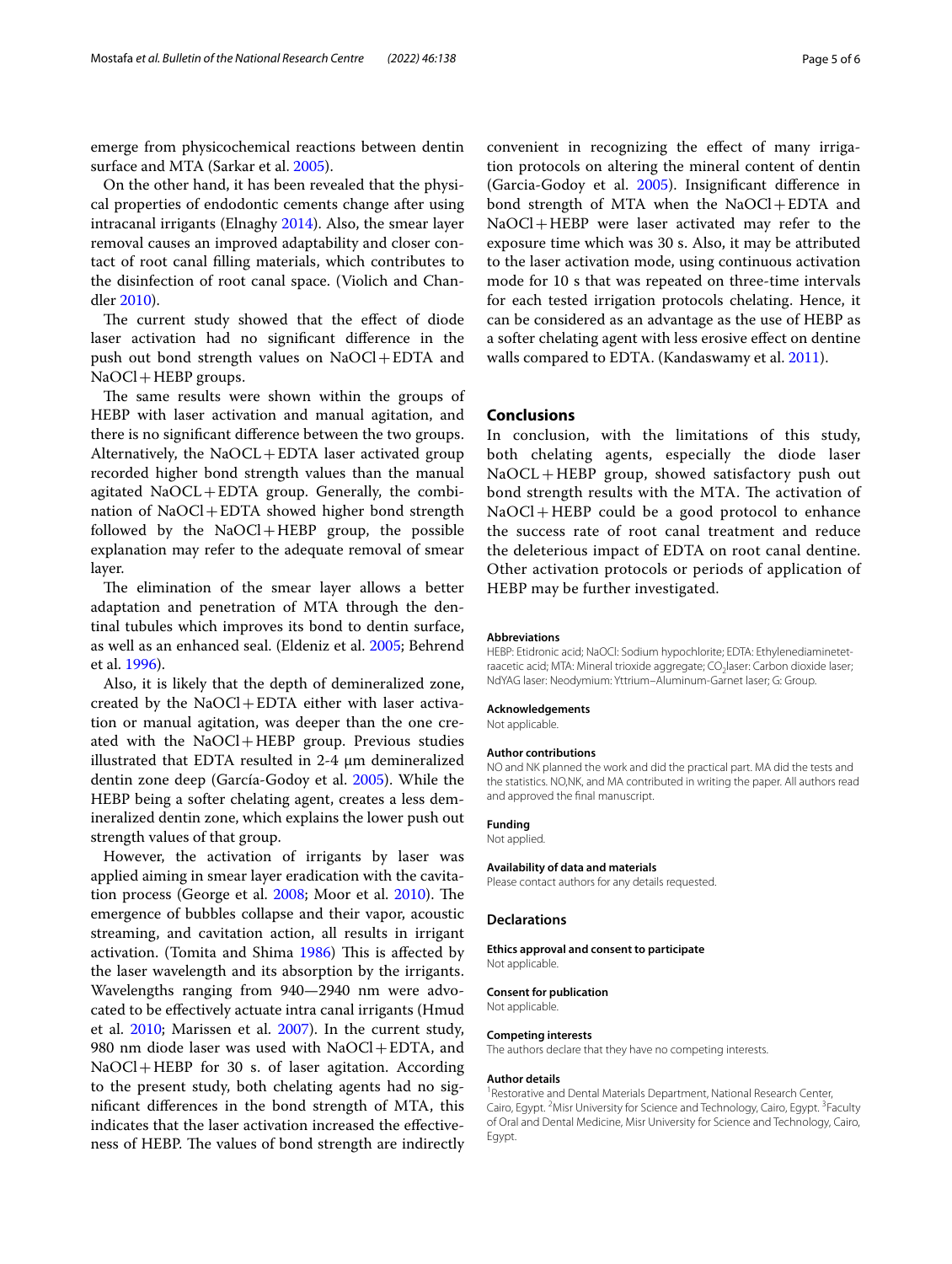emerge from physicochemical reactions between dentin surface and MTA (Sarkar et al. [2005](#page-5-25)).

On the other hand, it has been revealed that the physical properties of endodontic cements change after using intracanal irrigants (Elnaghy [2014\)](#page-5-26). Also, the smear layer removal causes an improved adaptability and closer contact of root canal flling materials, which contributes to the disinfection of root canal space. (Violich and Chandler [2010\)](#page-5-27).

The current study showed that the effect of diode laser activation had no signifcant diference in the push out bond strength values on NaOCl+EDTA and NaOCl + HEBP groups.

The same results were shown within the groups of HEBP with laser activation and manual agitation, and there is no signifcant diference between the two groups. Alternatively, the  $NaOCL+EDTA$  laser activated group recorded higher bond strength values than the manual agitated  $NaOCL + EDTA$  group. Generally, the combination of NaOCl+EDTA showed higher bond strength followed by the  $NaOCl + HEBP$  group, the possible explanation may refer to the adequate removal of smear layer.

The elimination of the smear layer allows a better adaptation and penetration of MTA through the dentinal tubules which improves its bond to dentin surface, as well as an enhanced seal. (Eldeniz et al. [2005;](#page-5-28) Behrend et al. [1996\)](#page-5-29).

Also, it is likely that the depth of demineralized zone, created by the  $NaOCl + EDTA$  either with laser activation or manual agitation, was deeper than the one created with the NaOCl+HEBP group. Previous studies illustrated that EDTA resulted in 2-4 μm demineralized dentin zone deep (García-Godoy et al. [2005](#page-5-30)). While the HEBP being a softer chelating agent, creates a less demineralized dentin zone, which explains the lower push out strength values of that group.

However, the activation of irrigants by laser was applied aiming in smear layer eradication with the cavita-tion process (George et al. [2008;](#page-5-31) Moor et al. [2010](#page-5-32)). The emergence of bubbles collapse and their vapor, acoustic streaming, and cavitation action, all results in irrigant activation. (Tomita and Shima  $1986$ ) This is affected by the laser wavelength and its absorption by the irrigants. Wavelengths ranging from 940—2940 nm were advocated to be efectively actuate intra canal irrigants (Hmud et al. [2010](#page-5-34); Marissen et al. [2007](#page-5-35)). In the current study, 980 nm diode laser was used with  $NaOCl + EDTA$ , and NaOCl+HEBP for 30 s. of laser agitation. According to the present study, both chelating agents had no signifcant diferences in the bond strength of MTA, this indicates that the laser activation increased the effectiveness of HEBP. The values of bond strength are indirectly

convenient in recognizing the efect of many irrigation protocols on altering the mineral content of dentin (Garcia-Godoy et al. [2005](#page-5-36)). Insignifcant diference in bond strength of MTA when the NaOCl+EDTA and NaOCl+HEBP were laser activated may refer to the exposure time which was 30 s. Also, it may be attributed to the laser activation mode, using continuous activation mode for 10 s that was repeated on three-time intervals for each tested irrigation protocols chelating. Hence, it can be considered as an advantage as the use of HEBP as a softer chelating agent with less erosive efect on dentine walls compared to EDTA. (Kandaswamy et al. [2011](#page-5-37)).

## **Conclusions**

In conclusion, with the limitations of this study, both chelating agents, especially the diode laser NaOCL+HEBP group, showed satisfactory push out bond strength results with the MTA. The activation of NaOCl+HEBP could be a good protocol to enhance the success rate of root canal treatment and reduce the deleterious impact of EDTA on root canal dentine. Other activation protocols or periods of application of HEBP may be further investigated.

#### **Abbreviations**

HEBP: Etidronic acid; NaOCl: Sodium hypochlorite; EDTA: Ethylenediaminetetraacetic acid; MTA: Mineral trioxide aggregate; CO<sub>2</sub>laser: Carbon dioxide laser; NdYAG laser: Neodymium: Yttrium–Aluminum-Garnet laser; G: Group.

#### **Acknowledgements**

Not applicable.

#### **Author contributions**

NO and NK planned the work and did the practical part. MA did the tests and the statistics. NO,NK, and MA contributed in writing the paper. All authors read and approved the fnal manuscript.

#### **Funding**

## Not applied.

**Availability of data and materials**

Please contact authors for any details requested.

### **Declarations**

**Ethics approval and consent to participate** Not applicable.

#### **Consent for publication**

Not applicable.

#### **Competing interests**

The authors declare that they have no competing interests.

#### **Author details**

<sup>1</sup> Restorative and Dental Materials Department, National Research Center, Cairo, Egypt. <sup>2</sup> Misr University for Science and Technology, Cairo, Egypt. <sup>3</sup> Faculty of Oral and Dental Medicine, Misr University for Science and Technology, Cairo, Egypt.